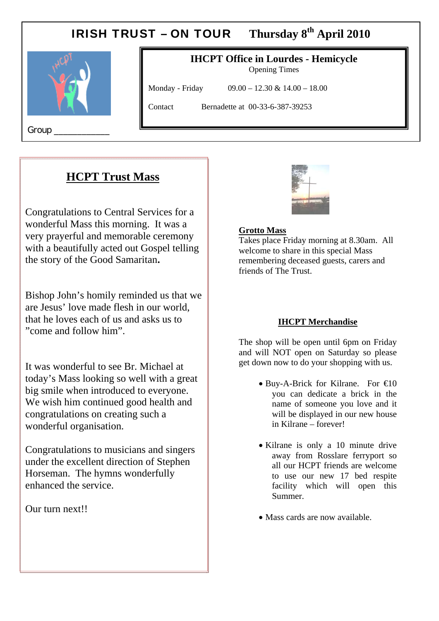# IRISH TRUST – ON TOUR **Thursday 8th April 2010**



#### **IHCPT Office in Lourdes - Hemicycle**  Opening Times

Monday - Friday 09.00 – 12.30 & 14.00 – 18.00

Contact Bernadette at 00-33-6-387-39253

Group

# **HCPT Trust Mass**

 $\mathbf{r}$ 

Congratulations to Central Services for a wonderful Mass this morning. It was a very prayerful and memorable ceremony with a beautifully acted out Gospel telling the story of the Good Samaritan**.** 

Bishop John's homily reminded us that we are Jesus' love made flesh in our world, that he loves each of us and asks us to "come and follow him".

It was wonderful to see Br. Michael at today's Mass looking so well with a great big smile when introduced to everyone. We wish him continued good health and congratulations on creating such a wonderful organisation.

Congratulations to musicians and singers under the excellent direction of Stephen Horseman. The hymns wonderfully enhanced the service.

Our turn next!!



#### **Grotto Mass**

Takes place Friday morning at 8.30am. All welcome to share in this special Mass remembering deceased guests, carers and friends of The Trust.

#### **IHCPT Merchandise**

The shop will be open until 6pm on Friday and will NOT open on Saturday so please get down now to do your shopping with us.

- $\bullet$  Buy-A-Brick for Kilrane. For  $\bigoplus$  0 you can dedicate a brick in the name of someone you love and it will be displayed in our new house in Kilrane – forever!
- Kilrane is only a 10 minute drive away from Rosslare ferryport so all our HCPT friends are welcome to use our new 17 bed respite facility which will open this Summer.
- Mass cards are now available.